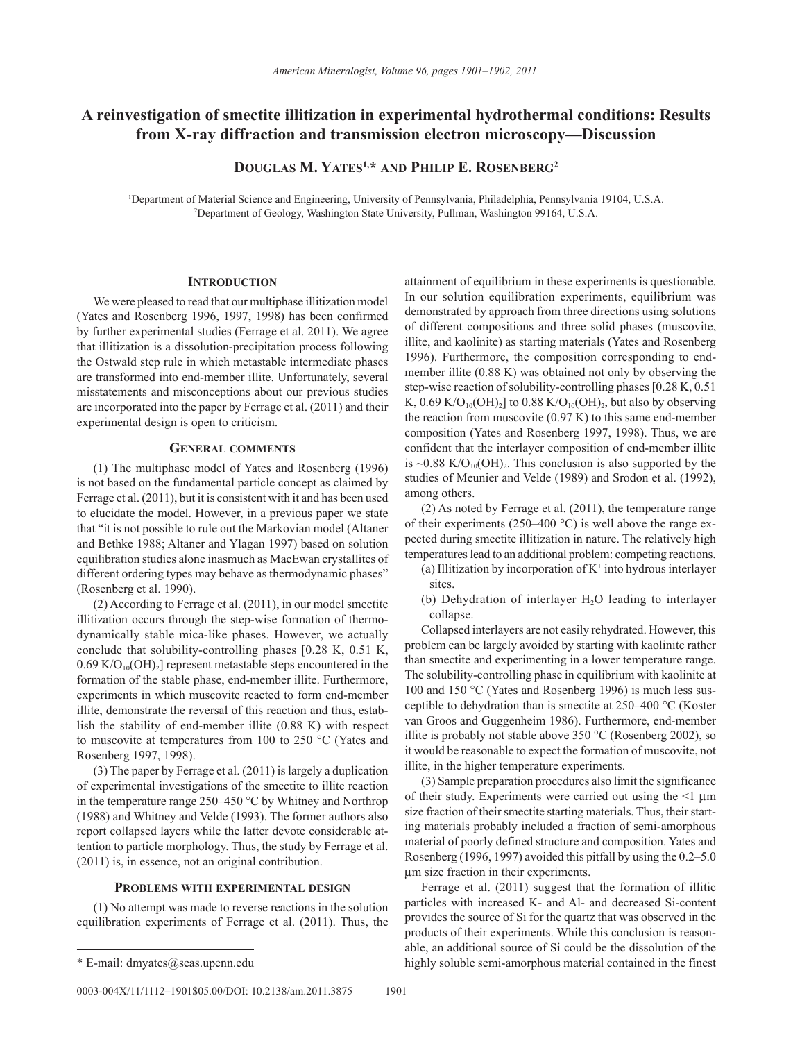# **A reinvestigation of smectite illitization in experimental hydrothermal conditions: Results from X-ray diffraction and transmission electron microscopy—Discussion**

**Douglas M. Yates1,\* and Philip E. Rosenberg2**

1 Department of Material Science and Engineering, University of Pennsylvania, Philadelphia, Pennsylvania 19104, U.S.A. 2 Department of Geology, Washington State University, Pullman, Washington 99164, U.S.A.

### **Introduction**

We were pleased to read that our multiphase illitization model (Yates and Rosenberg 1996, 1997, 1998) has been confirmed by further experimental studies (Ferrage et al. 2011). We agree that illitization is a dissolution-precipitation process following the Ostwald step rule in which metastable intermediate phases are transformed into end-member illite. Unfortunately, several misstatements and misconceptions about our previous studies are incorporated into the paper by Ferrage et al. (2011) and their experimental design is open to criticism.

#### **General comments**

(1) The multiphase model of Yates and Rosenberg (1996) is not based on the fundamental particle concept as claimed by Ferrage et al. (2011), but it is consistent with it and has been used to elucidate the model. However, in a previous paper we state that "it is not possible to rule out the Markovian model (Altaner and Bethke 1988; Altaner and Ylagan 1997) based on solution equilibration studies alone inasmuch as MacEwan crystallites of different ordering types may behave as thermodynamic phases" (Rosenberg et al. 1990).

(2) According to Ferrage et al. (2011), in our model smectite illitization occurs through the step-wise formation of thermodynamically stable mica-like phases. However, we actually conclude that solubility-controlling phases [0.28 K, 0.51 K,  $0.69 \text{ K/O}_{10}(\text{OH})_2$ ] represent metastable steps encountered in the formation of the stable phase, end-member illite. Furthermore, experiments in which muscovite reacted to form end-member illite, demonstrate the reversal of this reaction and thus, establish the stability of end-member illite (0.88 K) with respect to muscovite at temperatures from 100 to 250 °C (Yates and Rosenberg 1997, 1998).

(3) The paper by Ferrage et al. (2011) is largely a duplication of experimental investigations of the smectite to illite reaction in the temperature range 250–450 °C by Whitney and Northrop (1988) and Whitney and Velde (1993). The former authors also report collapsed layers while the latter devote considerable attention to particle morphology. Thus, the study by Ferrage et al. (2011) is, in essence, not an original contribution.

#### **Problems with experimental design**

(1) No attempt was made to reverse reactions in the solution equilibration experiments of Ferrage et al. (2011). Thus, the

0003-004X/11/1112-1901\$05.00/DOI: 10.2138/am.2011.3875 1901

attainment of equilibrium in these experiments is questionable. In our solution equilibration experiments, equilibrium was demonstrated by approach from three directions using solutions of different compositions and three solid phases (muscovite, illite, and kaolinite) as starting materials (Yates and Rosenberg 1996). Furthermore, the composition corresponding to endmember illite (0.88 K) was obtained not only by observing the step-wise reaction of solubility-controlling phases [0.28 K, 0.51 K,  $0.69 \text{ K/O}_{10}(\text{OH})_2$ ] to 0.88 K/O<sub>10</sub>(OH)<sub>2</sub>, but also by observing the reaction from muscovite  $(0.97 \text{ K})$  to this same end-member composition (Yates and Rosenberg 1997, 1998). Thus, we are confident that the interlayer composition of end-member illite is  $\sim 0.88$  K/O<sub>10</sub>(OH)<sub>2</sub>. This conclusion is also supported by the studies of Meunier and Velde (1989) and Srodon et al. (1992), among others.

(2) As noted by Ferrage et al. (2011), the temperature range of their experiments (250–400  $^{\circ}$ C) is well above the range expected during smectite illitization in nature. The relatively high temperatures lead to an additional problem: competing reactions.

- (a) Illitization by incorporation of K+ into hydrous interlayer sites.
- (b) Dehydration of interlayer  $H_2O$  leading to interlayer collapse.

Collapsed interlayers are not easily rehydrated. However, this problem can be largely avoided by starting with kaolinite rather than smectite and experimenting in a lower temperature range. The solubility-controlling phase in equilibrium with kaolinite at 100 and 150 °C (Yates and Rosenberg 1996) is much less susceptible to dehydration than is smectite at 250–400 °C (Koster van Groos and Guggenheim 1986). Furthermore, end-member illite is probably not stable above  $350 °C$  (Rosenberg 2002), so it would be reasonable to expect the formation of muscovite, not illite, in the higher temperature experiments.

(3) Sample preparation procedures also limit the significance of their study. Experiments were carried out using the  $\leq 1 \mu m$ size fraction of their smectite starting materials. Thus, their starting materials probably included a fraction of semi-amorphous material of poorly defined structure and composition. Yates and Rosenberg (1996, 1997) avoided this pitfall by using the 0.2–5.0 mm size fraction in their experiments.

Ferrage et al. (2011) suggest that the formation of illitic particles with increased K- and Al- and decreased Si-content provides the source of Si for the quartz that was observed in the products of their experiments. While this conclusion is reasonable, an additional source of Si could be the dissolution of the \* E-mail: dmyates@seas.upenn.edu highly soluble semi-amorphous material contained in the finest